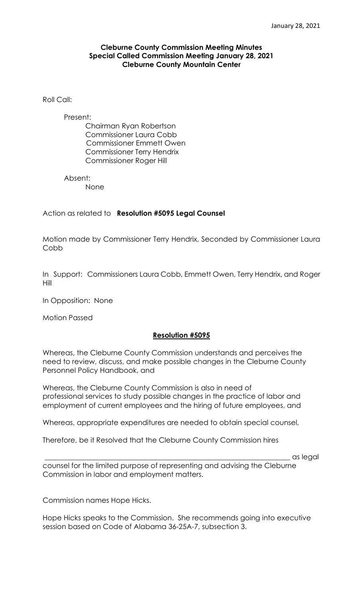### **Cleburne County Commission Meeting Minutes Special Called Commission Meeting January 28, 2021 Cleburne County Mountain Center**

### Roll Call:

#### Present:

 Chairman Ryan Robertson Commissioner Laura Cobb Commissioner Emmett Owen Commissioner Terry Hendrix Commissioner Roger Hill

Absent:

None

Action as related to **Resolution #5095 Legal Counsel**

Motion made by Commissioner Terry Hendrix, Seconded by Commissioner Laura **Cobb** 

In Support: Commissioners Laura Cobb, Emmett Owen, Terry Hendrix, and Roger Hill

In Opposition: None

Motion Passed

### **Resolution #5095**

Whereas, the Cleburne County Commission understands and perceives the need to review, discuss, and make possible changes in the Cleburne County Personnel Policy Handbook, and

Whereas, the Cleburne County Commission is also in need of professional services to study possible changes in the practice of labor and employment of current employees and the hiring of future employees, and

Whereas, appropriate expenditures are needed to obtain special counsel,

Therefore, be it Resolved that the Cleburne County Commission hires

\_\_\_\_\_\_\_\_\_\_\_\_\_\_\_\_\_\_\_\_\_\_\_\_\_\_\_\_\_\_\_\_\_\_\_\_\_\_\_\_\_\_\_\_\_\_\_\_\_\_\_\_\_\_\_\_\_\_\_\_\_\_\_\_\_\_\_\_\_ as legal

counsel for the limited purpose of representing and advising the Cleburne Commission in labor and employment matters.

Commission names Hope Hicks.

Hope Hicks speaks to the Commission. She recommends going into executive session based on Code of Alabama 36-25A-7, subsection 3.